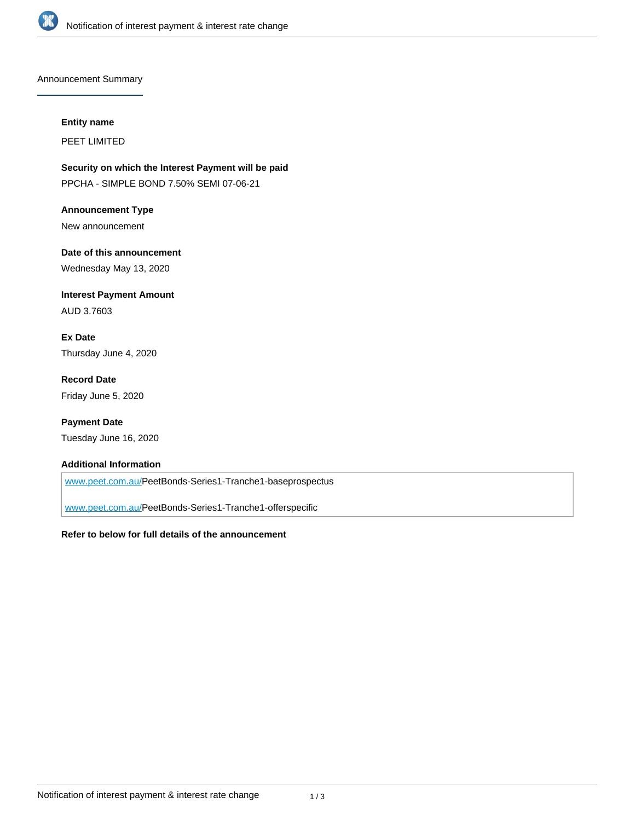

Announcement Summary

#### **Entity name**

PEET LIMITED

**Security on which the Interest Payment will be paid** PPCHA - SIMPLE BOND 7.50% SEMI 07-06-21

**Announcement Type** New announcement

**Date of this announcement** Wednesday May 13, 2020

**Interest Payment Amount** AUD 3.7603

**Ex Date** Thursday June 4, 2020

**Record Date** Friday June 5, 2020

**Payment Date** Tuesday June 16, 2020

### **Additional Information**

[www.peet.com.au/P](http://www.peet.com.au/)eetBonds-Series1-Tranche1-baseprospectus

[www.peet.com.au/P](http://www.peet.com.au/)eetBonds-Series1-Tranche1-offerspecific

#### **Refer to below for full details of the announcement**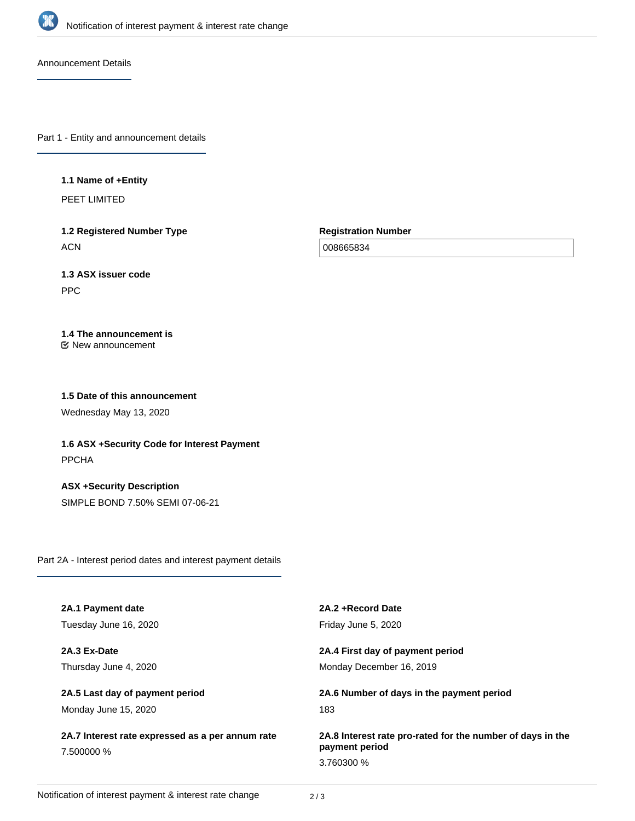

Announcement Details

Part 1 - Entity and announcement details

### **1.1 Name of +Entity**

PEET LIMITED

**1.2 Registered Number Type ACN** 

**Registration Number**

008665834

# **1.3 ASX issuer code**

PPC

# **1.4 The announcement is**

New announcement

## **1.5 Date of this announcement**

Wednesday May 13, 2020

**1.6 ASX +Security Code for Interest Payment** PPCHA

**ASX +Security Description** SIMPLE BOND 7.50% SEMI 07-06-21

Part 2A - Interest period dates and interest payment details

| 2A.1 Payment date                                              | 2A.2 + Record Date                                                           |
|----------------------------------------------------------------|------------------------------------------------------------------------------|
| Tuesday June 16, 2020                                          | Friday June 5, 2020                                                          |
| 2A.3 Ex-Date                                                   | 2A.4 First day of payment period                                             |
| Thursday June 4, 2020                                          | Monday December 16, 2019                                                     |
| 2A.5 Last day of payment period                                | 2A.6 Number of days in the payment period                                    |
| Monday June 15, 2020                                           | 183                                                                          |
| 2A.7 Interest rate expressed as a per annum rate<br>7.500000 % | 2A.8 Interest rate pro-rated for the number of days in the<br>payment period |
|                                                                |                                                                              |
|                                                                | 3.760300 %                                                                   |